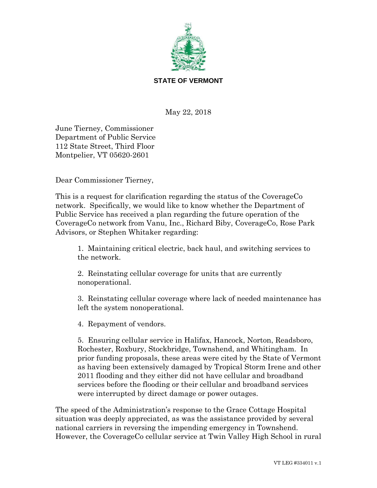

## **STATE OF VERMONT**

May 22, 2018

June Tierney, Commissioner Department of Public Service 112 State Street, Third Floor Montpelier, VT 05620-2601

Dear Commissioner Tierney,

This is a request for clarification regarding the status of the CoverageCo network. Specifically, we would like to know whether the Department of Public Service has received a plan regarding the future operation of the CoverageCo network from Vanu, Inc., Richard Biby, CoverageCo, Rose Park Advisors, or Stephen Whitaker regarding:

1. Maintaining critical electric, back haul, and switching services to the network.

2. Reinstating cellular coverage for units that are currently nonoperational.

3. Reinstating cellular coverage where lack of needed maintenance has left the system nonoperational.

4. Repayment of vendors.

5. Ensuring cellular service in Halifax, Hancock, Norton, Readsboro, Rochester, Roxbury, Stockbridge, Townshend, and Whitingham. In prior funding proposals, these areas were cited by the State of Vermont as having been extensively damaged by Tropical Storm Irene and other 2011 flooding and they either did not have cellular and broadband services before the flooding or their cellular and broadband services were interrupted by direct damage or power outages.

The speed of the Administration's response to the Grace Cottage Hospital situation was deeply appreciated, as was the assistance provided by several national carriers in reversing the impending emergency in Townshend. However, the CoverageCo cellular service at Twin Valley High School in rural